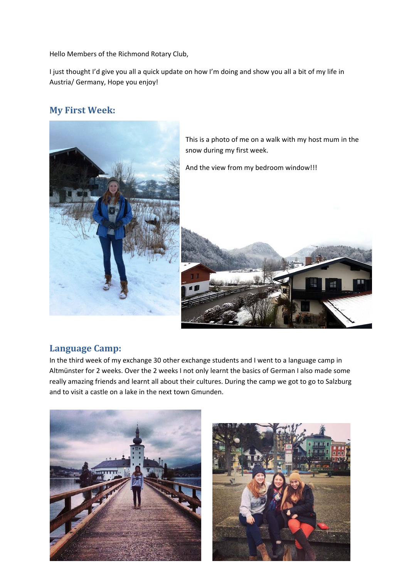Hello Members of the Richmond Rotary Club,

I just thought I'd give you all a quick update on how I'm doing and show you all a bit of my life in Austria/ Germany, Hope you enjoy!

## **My First Week:**



This is a photo of me on a walk with my host mum in the snow during my first week.

And the view from my bedroom window!!!



## **Language Camp:**

In the third week of my exchange 30 other exchange students and I went to a language camp in Altmünster for 2 weeks. Over the 2 weeks I not only learnt the basics of German I also made some really amazing friends and learnt all about their cultures. During the camp we got to go to Salzburg and to visit a castle on a lake in the next town Gmunden.



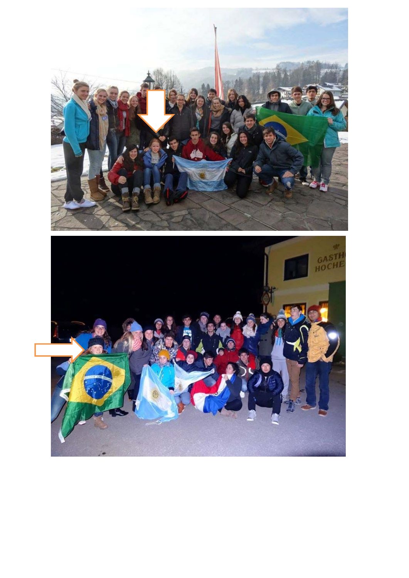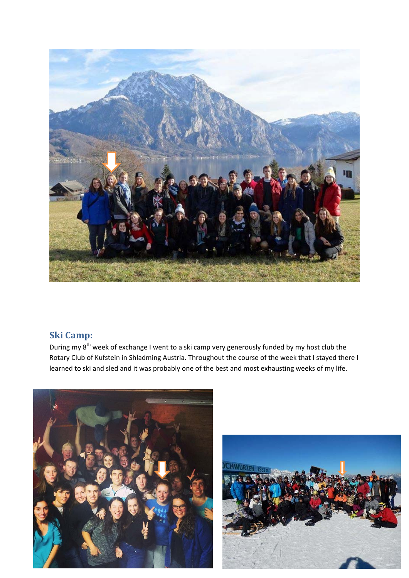

## **Ski Camp:**

During my 8<sup>th</sup> week of exchange I went to a ski camp very generously funded by my host club the Rotary Club of Kufstein in Shladming Austria. Throughout the course of the week that I stayed there I learned to ski and sled and it was probably one of the best and most exhausting weeks of my life.